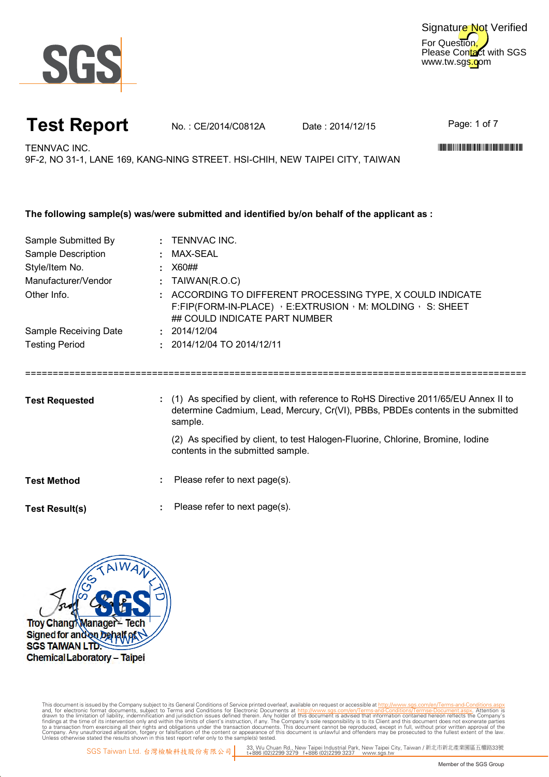

For Question, Please Contact with SGS www.tw.sgs.com Signature Not Verified

## **Test Report** No.: CE/2014/C0812A Date: 2014/12/15

Page: 1 of 7

TENNVAC INC. WELL-FIND TO A CHARGE THE CONTRACTION OF THE CONTRACTION OF THE CONTRACTION OF THE CONTRACTION OF THE CONTRACT OF THE CONTRACT OF THE CONTRACT OF THE CONTRACT OF THE CONTRACT OF THE CONTRACT OF THE CONTRACT OF

9F-2, NO 31-1, LANE 169, KANG-NING STREET. HSI-CHIH, NEW TAIPEI CITY, TAIWAN

| The following sample(s) was/were submitted and identified by/on behalf of the applicant as : |                                                                                                                                                                                     |  |  |  |  |  |  |
|----------------------------------------------------------------------------------------------|-------------------------------------------------------------------------------------------------------------------------------------------------------------------------------------|--|--|--|--|--|--|
| Sample Submitted By                                                                          | : TENNVAC INC.                                                                                                                                                                      |  |  |  |  |  |  |
| Sample Description                                                                           | : MAX-SEAL                                                                                                                                                                          |  |  |  |  |  |  |
| Style/Item No.                                                                               | $\pm$ X60##                                                                                                                                                                         |  |  |  |  |  |  |
| Manufacturer/Vendor                                                                          | : $TAIWAN(R.O.C)$                                                                                                                                                                   |  |  |  |  |  |  |
| Other Info.                                                                                  | : ACCORDING TO DIFFERENT PROCESSING TYPE, X COULD INDICATE<br>F:FIP(FORM-IN-PLACE) , E:EXTRUSION , M: MOLDING , S: SHEET<br>## COULD INDICATE PART NUMBER                           |  |  |  |  |  |  |
| Sample Receiving Date                                                                        | : 2014/12/04                                                                                                                                                                        |  |  |  |  |  |  |
| <b>Testing Period</b>                                                                        | $: 2014/12/04$ TO 2014/12/11                                                                                                                                                        |  |  |  |  |  |  |
| <b>Test Requested</b>                                                                        | : (1) As specified by client, with reference to RoHS Directive 2011/65/EU Annex II to<br>determine Cadmium, Lead, Mercury, Cr(VI), PBBs, PBDEs contents in the submitted<br>sample. |  |  |  |  |  |  |
|                                                                                              | (2) As specified by client, to test Halogen-Fluorine, Chlorine, Bromine, Iodine<br>contents in the submitted sample.                                                                |  |  |  |  |  |  |
| <b>Test Method</b>                                                                           | Please refer to next page(s).                                                                                                                                                       |  |  |  |  |  |  |

**:** Test Result(s)  $\qquad \qquad : \qquad$  Please refer to next page(s).



Digitally signed by ww.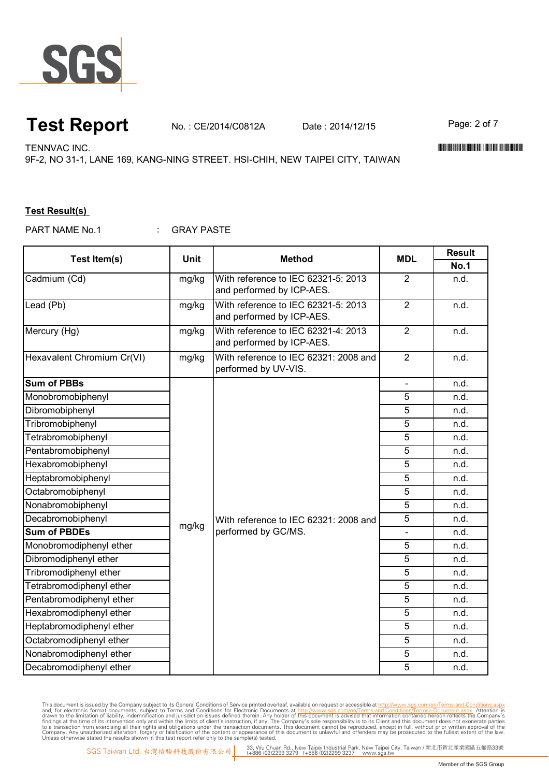

#### **Test Report** No. : CE/2014/C0812A Date : 2014/12/15 Page: 2 of 7

TENNVAC INC. WELL-FIND TO A CHARGE THE CONTRACTION OF THE CONTRACTION OF THE CONTRACTION OF THE CONTRACTION OF THE CONTRACT OF THE CONTRACT OF THE CONTRACT OF THE CONTRACT OF THE CONTRACT OF THE CONTRACT OF THE CONTRACT OF

9F-2, NO 31-1, LANE 169, KANG-NING STREET. HSI-CHIH, NEW TAIPEI CITY, TAIWAN

#### **Test Result(s)**

: GRAY PASTE PART NAME No.1

|                            | <b>Unit</b> | <b>Method</b>                                                 | <b>MDL</b>     | <b>Result</b> |
|----------------------------|-------------|---------------------------------------------------------------|----------------|---------------|
| Test Item(s)               |             |                                                               |                | <b>No.1</b>   |
| Cadmium (Cd)               | mg/kg       | With reference to IEC 62321-5: 2013                           | $\overline{2}$ | n.d.          |
|                            |             | and performed by ICP-AES.                                     |                |               |
| Lead (Pb)                  | mg/kg       | With reference to IEC 62321-5: 2013                           | $\overline{2}$ | n.d.          |
|                            |             | and performed by ICP-AES.                                     |                |               |
| Mercury (Hg)               | mg/kg       | With reference to IEC 62321-4: 2013                           | $\overline{2}$ | n.d.          |
|                            |             | and performed by ICP-AES.                                     |                |               |
| Hexavalent Chromium Cr(VI) | mg/kg       | With reference to IEC 62321: 2008 and<br>performed by UV-VIS. | $\overline{2}$ | n.d.          |
| <b>Sum of PBBs</b>         |             |                                                               |                | n.d.          |
| Monobromobiphenyl          |             |                                                               | 5              | n.d.          |
| Dibromobiphenyl            |             |                                                               | 5              | n.d.          |
| Tribromobiphenyl           |             |                                                               | 5              | n.d.          |
| Tetrabromobiphenyl         |             | With reference to IEC 62321: 2008 and                         | 5              | n.d.          |
| Pentabromobiphenyl         |             |                                                               | 5              | n.d.          |
| Hexabromobiphenyl          |             |                                                               | 5              | n.d.          |
| Heptabromobiphenyl         |             |                                                               | 5              | n.d.          |
| Octabromobiphenyl          |             |                                                               | 5              | n.d.          |
| Nonabromobiphenyl          |             |                                                               | $\overline{5}$ | n.d.          |
| Decabromobiphenyl          | mg/kg       |                                                               | $\overline{5}$ | n.d.          |
| <b>Sum of PBDEs</b>        |             | performed by GC/MS.                                           | $\overline{a}$ | n.d.          |
| Monobromodiphenyl ether    |             |                                                               | 5              | n.d.          |
| Dibromodiphenyl ether      |             |                                                               | $\overline{5}$ | n.d.          |
| Tribromodiphenyl ether     |             |                                                               | $\overline{5}$ | n.d.          |
| Tetrabromodiphenyl ether   |             |                                                               | $\overline{5}$ | n.d.          |
| Pentabromodiphenyl ether   |             |                                                               | 5              | n.d.          |
| Hexabromodiphenyl ether    |             |                                                               | $\overline{5}$ | n.d.          |
| Heptabromodiphenyl ether   |             |                                                               | 5              | n.d.          |
| Octabromodiphenyl ether    |             |                                                               | 5              | n.d.          |
| Nonabromodiphenyl ether    |             |                                                               | 5              | n.d.          |
| Decabromodiphenyl ether    |             |                                                               | 5              | n.d.          |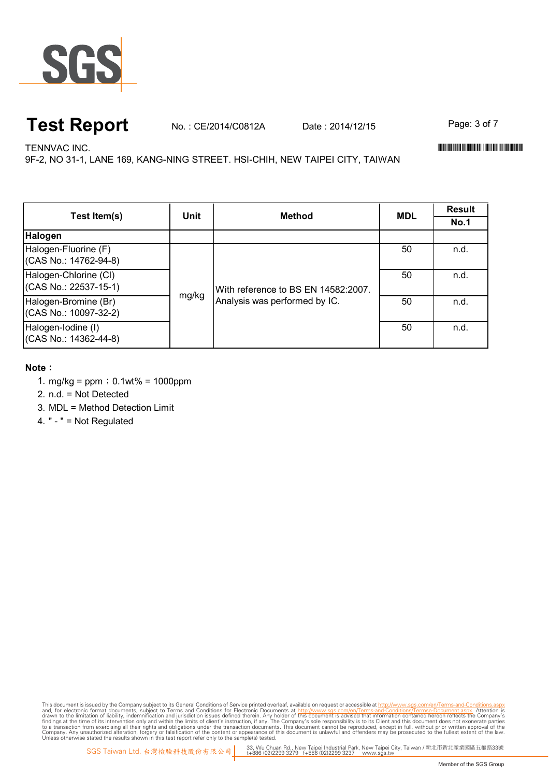

## **Test Report** No. : CE/2014/C0812A Date : 2014/12/15 Page: 3 of 7

TENNVAC INC. WELL-FIND TO A CHARGE THE CONTRACTION OF THE CONTRACTION OF THE CONTRACTION OF THE CONTRACTION OF THE CONTRACT OF THE CONTRACT OF THE CONTRACT OF THE CONTRACT OF THE CONTRACT OF THE CONTRACT OF THE CONTRACT OF

9F-2, NO 31-1, LANE 169, KANG-NING STREET. HSI-CHIH, NEW TAIPEI CITY, TAIWAN

| Test Item(s)                                   | Unit  | <b>Method</b>                                                        | <b>MDL</b> | <b>Result</b> |
|------------------------------------------------|-------|----------------------------------------------------------------------|------------|---------------|
|                                                |       |                                                                      |            | <b>No.1</b>   |
| Halogen                                        |       |                                                                      |            |               |
| Halogen-Fluorine (F)<br>(CAS No.: 14762-94-8)  | mg/kg | With reference to BS EN 14582:2007.<br>Analysis was performed by IC. | 50         | n.d.          |
| Halogen-Chlorine (CI)<br>(CAS No.: 22537-15-1) |       |                                                                      | 50         | n.d.          |
| Halogen-Bromine (Br)<br>(CAS No.: 10097-32-2)  |       |                                                                      | 50         | n.d.          |
| Halogen-Iodine (I)<br>(CAS No.: 14362-44-8)    |       |                                                                      | 50         | n.d.          |

#### **Note**:

- 1. mg/kg = ppm;0.1wt% = 1000ppm
- 2. n.d. = Not Detected
- 3. MDL = Method Detection Limit
- 4. " " = Not Regulated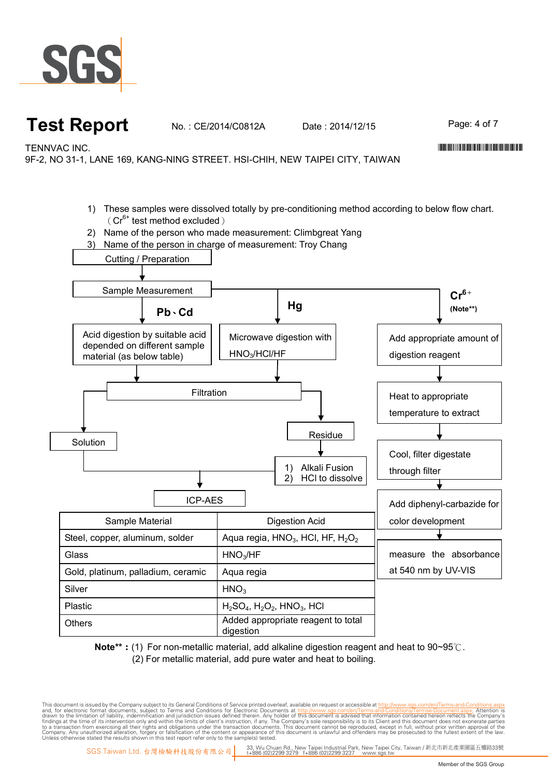

## **Test Report** No.: CE/2014/C0812A Date: 2014/12/15 Page: 4 of 7

TENNVAC INC. \*CE/2014/C0812A\*

9F-2, NO 31-1, LANE 169, KANG-NING STREET. HSI-CHIH, NEW TAIPEI CITY, TAIWAN

- 1) These samples were dissolved totally by pre-conditioning method according to below flow chart.  $(Cr^{6+}$  test method excluded)
- 2) Name of the person who made measurement: Climbgreat Yang
- 3) Name of the person in charge of measurement: Troy Chang



**Note\*\***:(1) For non-metallic material, add alkaline digestion reagent and heat to 90~95℃. (2) For metallic material, add pure water and heat to boiling.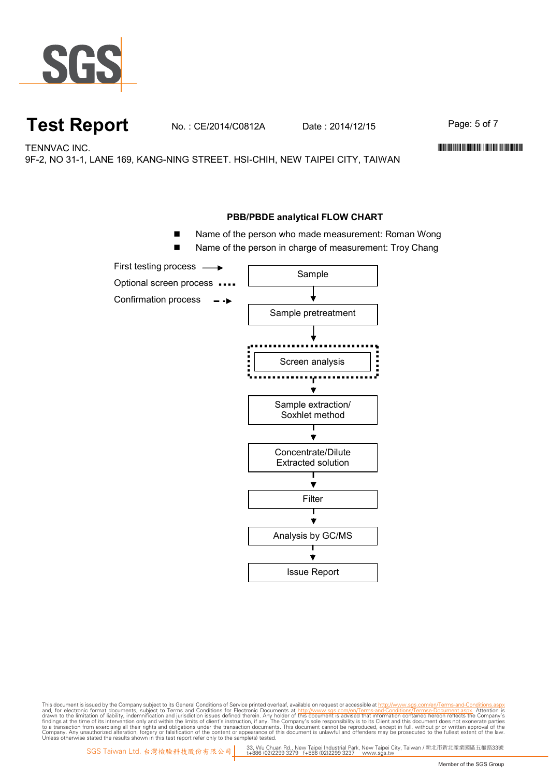

### **Test Report** No.: CE/2014/C0812A Date: 2014/12/15 Page: 5 of 7

TENNVAC INC. WELL-FIND TO A CHARGE THE CONTRACTION OF THE CONTRACTION OF THE CONTRACTION OF THE CONTRACTION OF THE CONTRACT OF THE CONTRACT OF THE CONTRACT OF THE CONTRACT OF THE CONTRACT OF THE CONTRACT OF THE CONTRACT OF

9F-2, NO 31-1, LANE 169, KANG-NING STREET. HSI-CHIH, NEW TAIPEI CITY, TAIWAN

#### **PBB/PBDE analytical FLOW CHART**

- Name of the person who made measurement: Roman Wong
- Name of the person in charge of measurement: Troy Chang

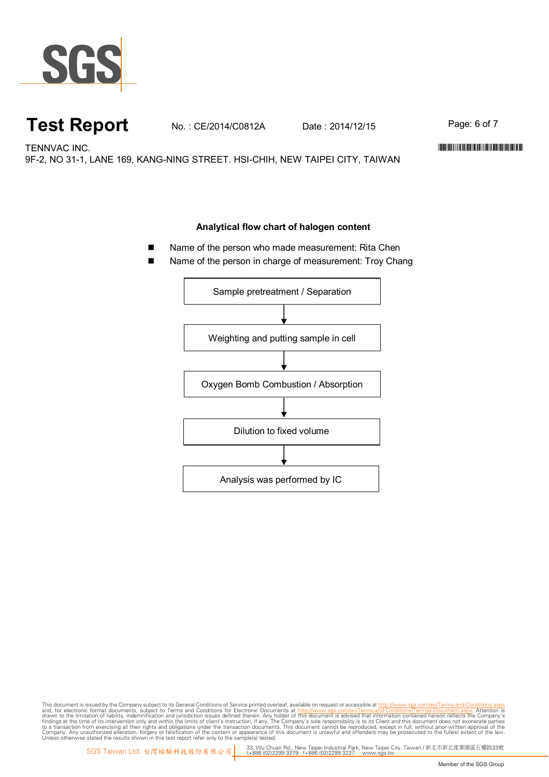

## **Test Report** No. : CE/2014/C0812A Date : 2014/12/15 Page: 6 of 7

TENNVAC INC. WELL-FIND TO A CHARGE THE CONTRACTION OF THE CONTRACTION OF THE CONTRACTION OF THE CONTRACTION OF THE CONTRACT OF THE CONTRACT OF THE CONTRACT OF THE CONTRACT OF THE CONTRACT OF THE CONTRACT OF THE CONTRACT OF

9F-2, NO 31-1, LANE 169, KANG-NING STREET. HSI-CHIH, NEW TAIPEI CITY, TAIWAN

#### **Analytical flow chart of halogen content**

- Name of the person who made measurement: Rita Chen
- Name of the person in charge of measurement: Troy Chang